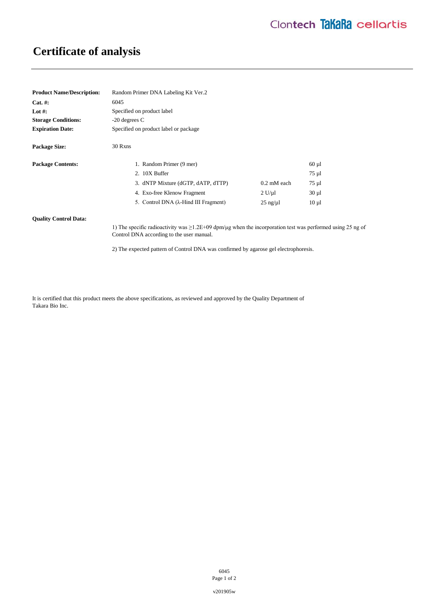# **Certificate of analysis**

| <b>Product Name/Description:</b> | Random Primer DNA Labeling Kit Ver.2  |                       |            |
|----------------------------------|---------------------------------------|-----------------------|------------|
| $Cat. \#:$                       | 6045                                  |                       |            |
| Lot #:                           | Specified on product label            |                       |            |
| <b>Storage Conditions:</b>       | $-20$ degrees C                       |                       |            |
| <b>Expiration Date:</b>          | Specified on product label or package |                       |            |
| <b>Package Size:</b>             | 30 Rxns                               |                       |            |
| <b>Package Contents:</b>         | 1. Random Primer (9 mer)              |                       | $60 \mu l$ |
|                                  | 2. 10X Buffer                         |                       | 75 µl      |
|                                  | 3. dNTP Mixture (dGTP, dATP, dTTP)    | $0.2 \text{ mM}$ each | 75 µl      |
|                                  | 4. Exo-free Klenow Fragment           | 2 U/u1                | $30 \mu l$ |
|                                  | 5. Control DNA (λ-Hind III Fragment)  | $25$ ng/ $\mu$ l      | $10 \mu l$ |

### **Quality Control Data:**

1) The specific radioactivity was ≥1.2E+09 dpm/μg when the incorporation test was performed using 25 ng of Control DNA according to the user manual.

2) The expected pattern of Control DNA was confirmed by agarose gel electrophoresis.

It is certified that this product meets the above specifications, as reviewed and approved by the Quality Department of Takara Bio Inc.

> 6045 Page 1 of 2

v201905w